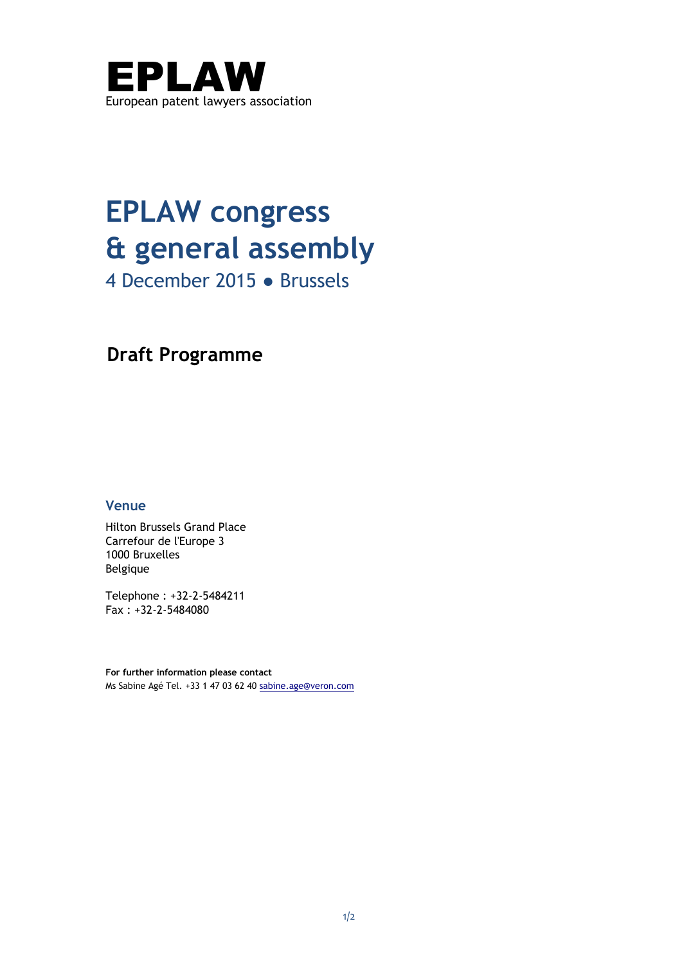

## **EPLAW congress & general assembly**

4 December 2015 ● Brussels

## **Draft Programme**

## **Venue**

Hilton Brussels Grand Place Carrefour de l'Europe 3 1000 Bruxelles Belgique

Telephone : +32-2-5484211 Fax : +32-2-5484080

**For further information please contact** Ms Sabine Agé Tel. +33 1 47 03 62 40 [sabine.age@veron.com](mailto:sabine.age@veron.com)